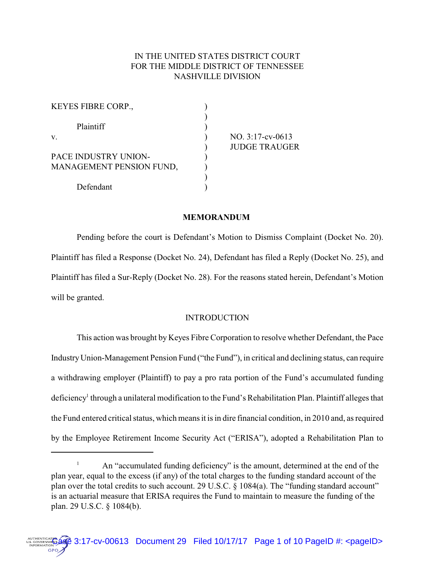# IN THE UNITED STATES DISTRICT COURT FOR THE MIDDLE DISTRICT OF TENNESSEE NASHVILLE DIVISION

| KEYES FIBRE CORP.,       |                      |
|--------------------------|----------------------|
| Plaintiff                |                      |
| V.                       | $NO. 3:17$ -cv-0613  |
|                          | <b>JUDGE TRAUGER</b> |
| PACE INDUSTRY UNION-     |                      |
| MANAGEMENT PENSION FUND, |                      |
|                          |                      |
| Defendant                |                      |

## **MEMORANDUM**

Pending before the court is Defendant's Motion to Dismiss Complaint (Docket No. 20). Plaintiff has filed a Response (Docket No. 24), Defendant has filed a Reply (Docket No. 25), and Plaintiff has filed a Sur-Reply (Docket No. 28). For the reasons stated herein, Defendant's Motion will be granted.

## **INTRODUCTION**

This action was brought by Keyes Fibre Corporation to resolve whether Defendant, the Pace IndustryUnion-Management Pension Fund ("the Fund"), in critical and declining status, can require a withdrawing employer (Plaintiff) to pay a pro rata portion of the Fund's accumulated funding deficiency<sup>1</sup> through a unilateral modification to the Fund's Rehabilitation Plan. Plaintiff alleges that the Fund entered critical status, which means it is in dire financial condition, in 2010 and, as required by the Employee Retirement Income Security Act ("ERISA"), adopted a Rehabilitation Plan to

<sup>&</sup>lt;sup>1</sup> An "accumulated funding deficiency" is the amount, determined at the end of the plan year, equal to the excess (if any) of the total charges to the funding standard account of the plan over the total credits to such account. 29 U.S.C. § 1084(a). The "funding standard account" is an actuarial measure that ERISA requires the Fund to maintain to measure the funding of the plan. 29 U.S.C. § 1084(b).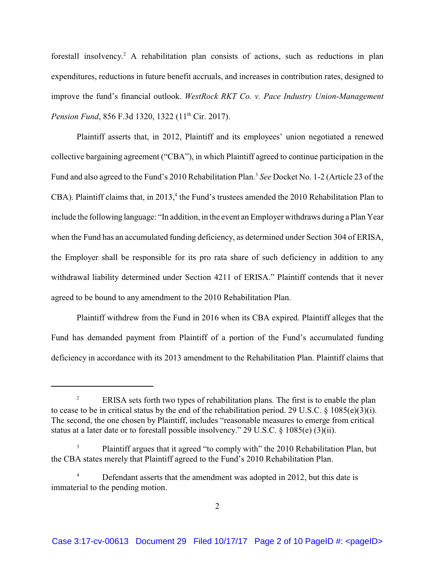forestall insolvency.<sup>2</sup> A rehabilitation plan consists of actions, such as reductions in plan expenditures, reductions in future benefit accruals, and increases in contribution rates, designed to improve the fund's financial outlook. *WestRock RKT Co. v. Pace Industry Union-Management Pension Fund*, 856 F.3d 1320, 1322 (11<sup>th</sup> Cir. 2017).

Plaintiff asserts that, in 2012, Plaintiff and its employees' union negotiated a renewed collective bargaining agreement ("CBA"), in which Plaintiff agreed to continue participation in the Fund and also agreed to the Fund's 2010 Rehabilitation Plan.<sup>3</sup> *See* Docket No. 1-2 (Article 23 of the CBA). Plaintiff claims that, in 2013,<sup>4</sup> the Fund's trustees amended the 2010 Rehabilitation Plan to include the following language: "In addition, in the event an Employer withdraws during a Plan Year when the Fund has an accumulated funding deficiency, as determined under Section 304 of ERISA, the Employer shall be responsible for its pro rata share of such deficiency in addition to any withdrawal liability determined under Section 4211 of ERISA." Plaintiff contends that it never agreed to be bound to any amendment to the 2010 Rehabilitation Plan.

Plaintiff withdrew from the Fund in 2016 when its CBA expired. Plaintiff alleges that the Fund has demanded payment from Plaintiff of a portion of the Fund's accumulated funding deficiency in accordance with its 2013 amendment to the Rehabilitation Plan. Plaintiff claims that

<sup>&</sup>lt;sup>2</sup> ERISA sets forth two types of rehabilitation plans. The first is to enable the plan to cease to be in critical status by the end of the rehabilitation period. 29 U.S.C. § 1085(e)(3)(i). The second, the one chosen by Plaintiff, includes "reasonable measures to emerge from critical status at a later date or to forestall possible insolvency." 29 U.S.C. § 1085(e) (3)(ii).

<sup>3</sup> Plaintiff argues that it agreed "to comply with" the 2010 Rehabilitation Plan, but the CBA states merely that Plaintiff agreed to the Fund's 2010 Rehabilitation Plan.

Defendant asserts that the amendment was adopted in 2012, but this date is immaterial to the pending motion.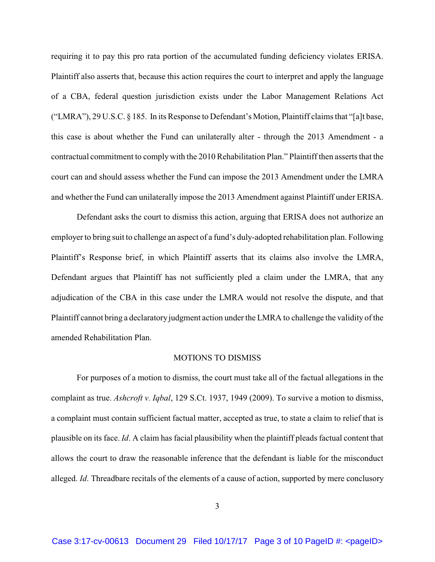requiring it to pay this pro rata portion of the accumulated funding deficiency violates ERISA. Plaintiff also asserts that, because this action requires the court to interpret and apply the language of a CBA, federal question jurisdiction exists under the Labor Management Relations Act ("LMRA"), 29 U.S.C. § 185. In its Response to Defendant's Motion, Plaintiff claims that "[a]t base, this case is about whether the Fund can unilaterally alter - through the 2013 Amendment - a contractual commitment to comply with the 2010 Rehabilitation Plan." Plaintiff then asserts that the court can and should assess whether the Fund can impose the 2013 Amendment under the LMRA and whether the Fund can unilaterally impose the 2013 Amendment against Plaintiff under ERISA.

Defendant asks the court to dismiss this action, arguing that ERISA does not authorize an employer to bring suit to challenge an aspect of a fund's duly-adopted rehabilitation plan. Following Plaintiff's Response brief, in which Plaintiff asserts that its claims also involve the LMRA, Defendant argues that Plaintiff has not sufficiently pled a claim under the LMRA, that any adjudication of the CBA in this case under the LMRA would not resolve the dispute, and that Plaintiff cannot bring a declaratoryjudgment action under the LMRA to challenge the validity of the amended Rehabilitation Plan.

### MOTIONS TO DISMISS

For purposes of a motion to dismiss, the court must take all of the factual allegations in the complaint as true. *Ashcroft v. Iqbal*, 129 S.Ct. 1937, 1949 (2009). To survive a motion to dismiss, a complaint must contain sufficient factual matter, accepted as true, to state a claim to relief that is plausible on its face. *Id*. A claim has facial plausibility when the plaintiff pleads factual content that allows the court to draw the reasonable inference that the defendant is liable for the misconduct alleged. *Id*. Threadbare recitals of the elements of a cause of action, supported by mere conclusory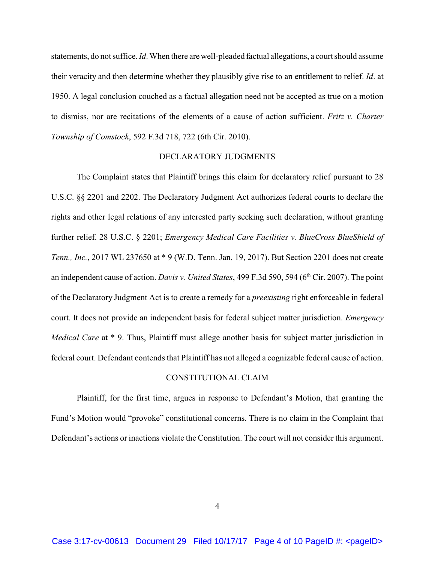statements, do not suffice. *Id*.When there are well-pleaded factual allegations, a court should assume their veracity and then determine whether they plausibly give rise to an entitlement to relief. *Id*. at 1950. A legal conclusion couched as a factual allegation need not be accepted as true on a motion to dismiss, nor are recitations of the elements of a cause of action sufficient. *Fritz v. Charter Township of Comstock*, 592 F.3d 718, 722 (6th Cir. 2010).

## DECLARATORY JUDGMENTS

The Complaint states that Plaintiff brings this claim for declaratory relief pursuant to 28 U.S.C. §§ 2201 and 2202. The Declaratory Judgment Act authorizes federal courts to declare the rights and other legal relations of any interested party seeking such declaration, without granting further relief. 28 U.S.C. § 2201; *Emergency Medical Care Facilities v. BlueCross BlueShield of Tenn., Inc.*, 2017 WL 237650 at \* 9 (W.D. Tenn. Jan. 19, 2017). But Section 2201 does not create an independent cause of action. *Davis v. United States*, 499 F.3d 590, 594 (6 th Cir. 2007). The point of the Declaratory Judgment Act is to create a remedy for a *preexisting* right enforceable in federal court. It does not provide an independent basis for federal subject matter jurisdiction. *Emergency Medical Care* at \* 9. Thus, Plaintiff must allege another basis for subject matter jurisdiction in federal court. Defendant contends that Plaintiff has not alleged a cognizable federal cause of action.

## CONSTITUTIONAL CLAIM

Plaintiff, for the first time, argues in response to Defendant's Motion, that granting the Fund's Motion would "provoke" constitutional concerns. There is no claim in the Complaint that Defendant's actions or inactions violate the Constitution. The court will not consider this argument.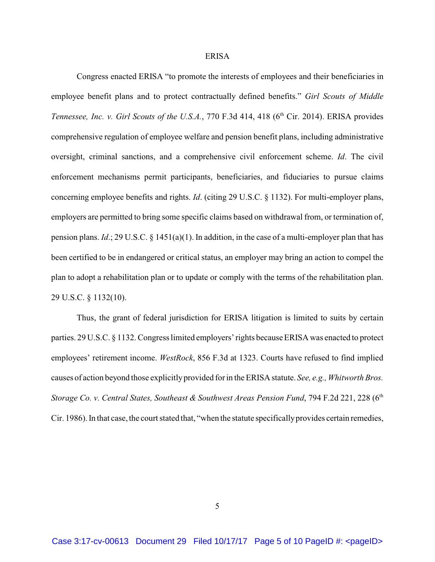#### ERISA

Congress enacted ERISA "to promote the interests of employees and their beneficiaries in employee benefit plans and to protect contractually defined benefits." *Girl Scouts of Middle Tennessee, Inc. v. Girl Scouts of the U.S.A., 770 F.3d 414, 418 (6<sup>th</sup> Cir. 2014). ERISA provides* comprehensive regulation of employee welfare and pension benefit plans, including administrative oversight, criminal sanctions, and a comprehensive civil enforcement scheme. *Id*. The civil enforcement mechanisms permit participants, beneficiaries, and fiduciaries to pursue claims concerning employee benefits and rights. *Id*. (citing 29 U.S.C. § 1132). For multi-employer plans, employers are permitted to bring some specific claims based on withdrawal from, or termination of, pension plans. *Id*.; 29 U.S.C. § 1451(a)(1). In addition, in the case of a multi-employer plan that has been certified to be in endangered or critical status, an employer may bring an action to compel the plan to adopt a rehabilitation plan or to update or comply with the terms of the rehabilitation plan. 29 U.S.C. § 1132(10).

Thus, the grant of federal jurisdiction for ERISA litigation is limited to suits by certain parties. 29 U.S.C. § 1132. Congress limited employers' rights because ERISA was enacted to protect employees' retirement income. *WestRock*, 856 F.3d at 1323. Courts have refused to find implied causes of action beyond those explicitly provided for in the ERISA statute. *See, e.g., Whitworth Bros. Storage Co. v. Central States, Southeast & Southwest Areas Pension Fund*, 794 F.2d 221, 228 (6th Cir. 1986). In that case, the court stated that, "when the statute specificallyprovides certain remedies,

5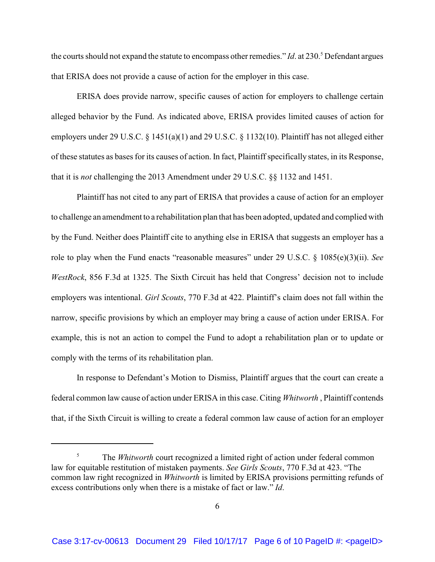the courts should not expand the statute to encompass other remedies." *Id.* at 230.<sup>5</sup> Defendant argues that ERISA does not provide a cause of action for the employer in this case.

ERISA does provide narrow, specific causes of action for employers to challenge certain alleged behavior by the Fund. As indicated above, ERISA provides limited causes of action for employers under 29 U.S.C. § 1451(a)(1) and 29 U.S.C. § 1132(10). Plaintiff has not alleged either of these statutes as bases for its causes of action. In fact, Plaintiff specifically states, in its Response, that it is *not* challenging the 2013 Amendment under 29 U.S.C. §§ 1132 and 1451.

Plaintiff has not cited to any part of ERISA that provides a cause of action for an employer to challenge an amendment to a rehabilitation plan that has been adopted, updated and complied with by the Fund. Neither does Plaintiff cite to anything else in ERISA that suggests an employer has a role to play when the Fund enacts "reasonable measures" under 29 U.S.C. § 1085(e)(3)(ii). *See WestRock*, 856 F.3d at 1325. The Sixth Circuit has held that Congress' decision not to include employers was intentional. *Girl Scouts*, 770 F.3d at 422. Plaintiff's claim does not fall within the narrow, specific provisions by which an employer may bring a cause of action under ERISA. For example, this is not an action to compel the Fund to adopt a rehabilitation plan or to update or comply with the terms of its rehabilitation plan.

In response to Defendant's Motion to Dismiss, Plaintiff argues that the court can create a federal common law cause of action under ERISA in this case. Citing *Whitworth* , Plaintiff contends that, if the Sixth Circuit is willing to create a federal common law cause of action for an employer

<sup>&</sup>lt;sup>5</sup> The *Whitworth* court recognized a limited right of action under federal common law for equitable restitution of mistaken payments. *See Girls Scouts*, 770 F.3d at 423. "The common law right recognized in *Whitworth* is limited by ERISA provisions permitting refunds of excess contributions only when there is a mistake of fact or law." *Id*.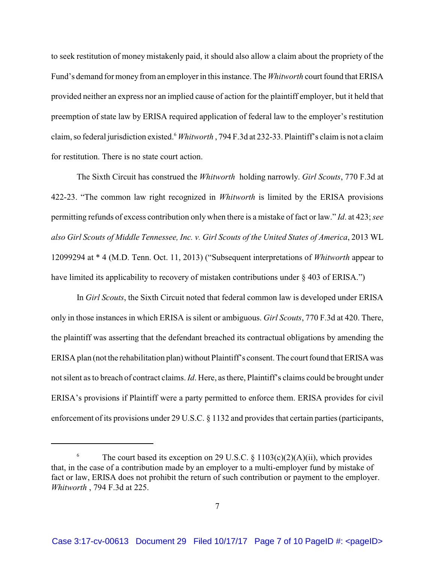to seek restitution of money mistakenly paid, it should also allow a claim about the propriety of the Fund's demand for money from an employer in this instance. The *Whitworth* court found that ERISA provided neither an express nor an implied cause of action for the plaintiff employer, but it held that preemption of state law by ERISA required application of federal law to the employer's restitution claim, so federal jurisdiction existed.<sup>6</sup> *Whitworth* , 794 F.3d at 232-33. Plaintiff's claim is not a claim for restitution. There is no state court action.

The Sixth Circuit has construed the *Whitworth* holding narrowly. *Girl Scouts*, 770 F.3d at 422-23. "The common law right recognized in *Whitworth* is limited by the ERISA provisions permitting refunds of excess contribution only when there is a mistake of fact or law." *Id*. at 423; *see also Girl Scouts of Middle Tennessee, Inc. v. Girl Scouts of the United States of America*, 2013 WL 12099294 at \* 4 (M.D. Tenn. Oct. 11, 2013) ("Subsequent interpretations of *Whitworth* appear to have limited its applicability to recovery of mistaken contributions under § 403 of ERISA.")

In *Girl Scouts*, the Sixth Circuit noted that federal common law is developed under ERISA only in those instances in which ERISA is silent or ambiguous. *Girl Scouts*, 770 F.3d at 420. There, the plaintiff was asserting that the defendant breached its contractual obligations by amending the ERISA plan (not the rehabilitation plan) without Plaintiff's consent. The court found that ERISA was not silent as to breach of contract claims. *Id*. Here, as there, Plaintiff's claims could be brought under ERISA's provisions if Plaintiff were a party permitted to enforce them. ERISA provides for civil enforcement of its provisions under 29 U.S.C. § 1132 and provides that certain parties (participants,

<sup>&</sup>lt;sup>6</sup> The court based its exception on 29 U.S.C. § 1103(c)(2)(A)(ii), which provides that, in the case of a contribution made by an employer to a multi-employer fund by mistake of fact or law, ERISA does not prohibit the return of such contribution or payment to the employer. *Whitworth* , 794 F.3d at 225.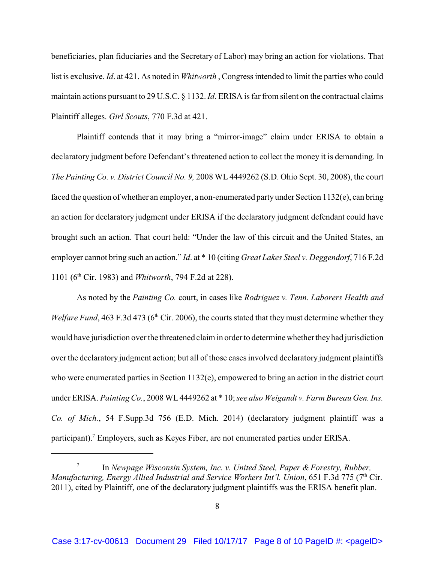beneficiaries, plan fiduciaries and the Secretary of Labor) may bring an action for violations. That list is exclusive. *Id*. at 421. As noted in *Whitworth* , Congress intended to limit the parties who could maintain actions pursuant to 29 U.S.C. § 1132. *Id*. ERISA is far from silent on the contractual claims Plaintiff alleges. *Girl Scouts*, 770 F.3d at 421.

Plaintiff contends that it may bring a "mirror-image" claim under ERISA to obtain a declaratory judgment before Defendant's threatened action to collect the money it is demanding. In *The Painting Co. v. District Council No. 9,* 2008 WL 4449262 (S.D. Ohio Sept. 30, 2008), the court faced the question of whether an employer, a non-enumerated party under Section 1132(e), can bring an action for declaratory judgment under ERISA if the declaratory judgment defendant could have brought such an action. That court held: "Under the law of this circuit and the United States, an employer cannot bring such an action." *Id*. at \* 10 (citing *Great Lakes Steel v. Deggendorf*, 716 F.2d 1101 (6<sup>th</sup> Cir. 1983) and *Whitworth*, 794 F.2d at 228).

As noted by the *Painting Co.* court, in cases like *Rodriguez v. Tenn. Laborers Health and Welfare Fund*, 463 F.3d 473 (6<sup>th</sup> Cir. 2006), the courts stated that they must determine whether they would have jurisdiction over the threatened claim in order to determine whether theyhad jurisdiction over the declaratory judgment action; but all of those cases involved declaratory judgment plaintiffs who were enumerated parties in Section 1132(e), empowered to bring an action in the district court under ERISA. *Painting Co.*, 2008 WL4449262 at \* 10; *see also Weigandt v. Farm Bureau Gen. Ins. Co. of Mich.*, 54 F.Supp.3d 756 (E.D. Mich. 2014) (declaratory judgment plaintiff was a participant).<sup>7</sup> Employers, such as Keyes Fiber, are not enumerated parties under ERISA.

<sup>7</sup> In *Newpage Wisconsin System, Inc. v. United Steel, Paper & Forestry, Rubber,* Manufacturing, *Energy Allied Industrial and Service Workers Int'l. Union*, 651 F.3d 775 (7<sup>th</sup> Cir. 2011), cited by Plaintiff, one of the declaratory judgment plaintiffs was the ERISA benefit plan.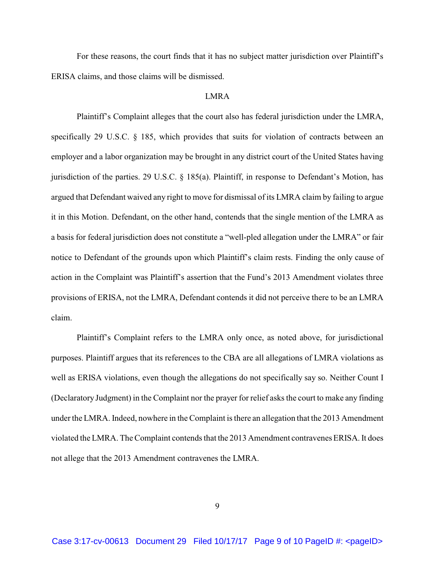For these reasons, the court finds that it has no subject matter jurisdiction over Plaintiff's ERISA claims, and those claims will be dismissed.

### LMRA

Plaintiff's Complaint alleges that the court also has federal jurisdiction under the LMRA, specifically 29 U.S.C. § 185, which provides that suits for violation of contracts between an employer and a labor organization may be brought in any district court of the United States having jurisdiction of the parties. 29 U.S.C. § 185(a). Plaintiff, in response to Defendant's Motion, has argued that Defendant waived any right to move for dismissal of its LMRA claim by failing to argue it in this Motion. Defendant, on the other hand, contends that the single mention of the LMRA as a basis for federal jurisdiction does not constitute a "well-pled allegation under the LMRA" or fair notice to Defendant of the grounds upon which Plaintiff's claim rests. Finding the only cause of action in the Complaint was Plaintiff's assertion that the Fund's 2013 Amendment violates three provisions of ERISA, not the LMRA, Defendant contends it did not perceive there to be an LMRA claim.

Plaintiff's Complaint refers to the LMRA only once, as noted above, for jurisdictional purposes. Plaintiff argues that its references to the CBA are all allegations of LMRA violations as well as ERISA violations, even though the allegations do not specifically say so. Neither Count I (Declaratory Judgment) in the Complaint nor the prayer for relief asks the court to make any finding under the LMRA. Indeed, nowhere in the Complaint is there an allegation that the 2013 Amendment violated the LMRA. The Complaint contends that the 2013 Amendment contravenes ERISA. It does not allege that the 2013 Amendment contravenes the LMRA.